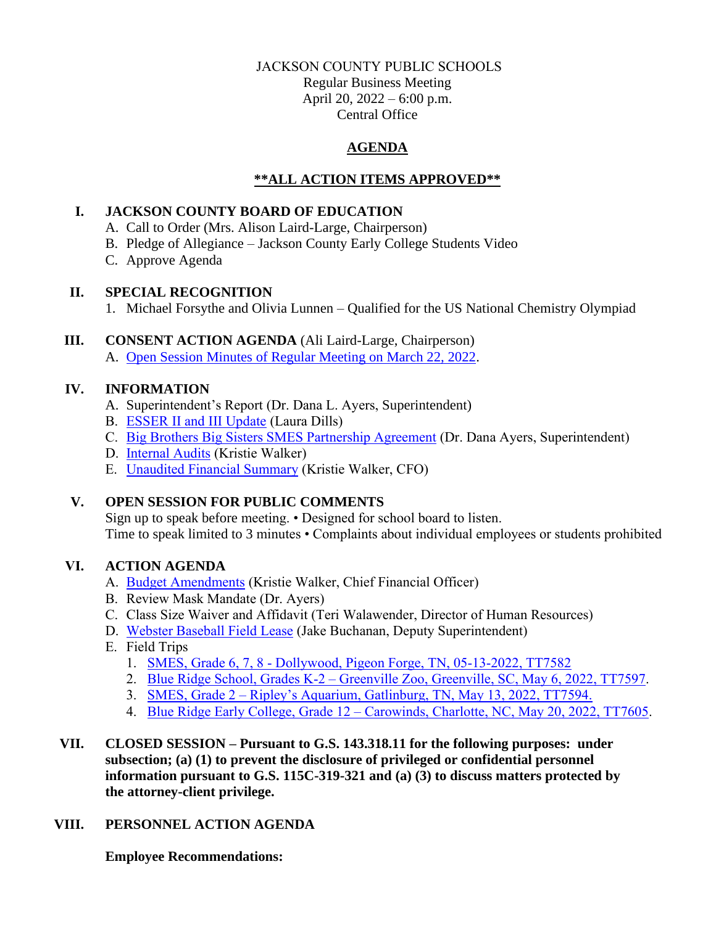#### JACKSON COUNTY PUBLIC SCHOOLS

Regular Business Meeting April 20, 2022 – 6:00 p.m. Central Office

# **AGENDA**

# **\*\*ALL ACTION ITEMS APPROVED\*\***

### **I. JACKSON COUNTY BOARD OF EDUCATION**

- A. Call to Order (Mrs. Alison Laird-Large, Chairperson)
- B. Pledge of Allegiance Jackson County Early College Students Video
- C. Approve Agenda

## **II. SPECIAL RECOGNITION**

1. Michael Forsythe and Olivia Lunnen – Qualified for the US National Chemistry Olympiad

## **III. CONSENT ACTION AGENDA** (Ali Laird-Large, Chairperson)

A. [Open Session Minutes of Regular Meeting on March 22, 2022.](https://jcpsmail-my.sharepoint.com/:b:/g/personal/cfields_jcpsmail_org/ETNf0_SQ2_5Cq0FmBpENk_ABAnz6Cvs3GbNd4nhtfY4tNA?e=qgTzzy)

## **IV. INFORMATION**

- A. Superintendent's Report (Dr. Dana L. Ayers, Superintendent)
- B. [ESSER II and III Update](https://jcpsmail-my.sharepoint.com/:b:/g/personal/cfields_jcpsmail_org/ETPbqUP3Q-BOkjgfafC6QZMBwe41rt_NrPlp85_QGrr35A?e=XGo3Ve) (Laura Dills)
- C. [Big Brothers Big Sisters SMES Partnership Agreement](https://jcpsmail-my.sharepoint.com/:b:/g/personal/cfields_jcpsmail_org/EVrOHirsFG9HjKsN57uQXZgBBGchlxiPsFfbfQBg5Fl_PQ?e=7s2x2c) (Dr. Dana Ayers, Superintendent)
- D. [Internal Audits](https://jcpsmail-my.sharepoint.com/:b:/g/personal/cfields_jcpsmail_org/EYZuOmSN00hHsEQmrqrTVf4BHew6_nhlq0-BTnhcyUAQBw?e=ckdh96) (Kristie Walker)
- E. [Unaudited Financial Summary](https://jcpsmail-my.sharepoint.com/:b:/g/personal/cfields_jcpsmail_org/EWCgllLwpXtFsGr30DLLyaoB5oWnAL2QHdI8r3sJqeHJRA?e=NqB6Je) (Kristie Walker, CFO)

# **V. OPEN SESSION FOR PUBLIC COMMENTS**

Sign up to speak before meeting. • Designed for school board to listen. Time to speak limited to 3 minutes • Complaints about individual employees or students prohibited

### **VI. ACTION AGENDA**

- A. [Budget Amendments](https://jcpsmail-my.sharepoint.com/:b:/g/personal/cfields_jcpsmail_org/EZ-9AMy7wRZIpvjcvepxU2EBOT22GCY7BL7C4ansOy4WkA?e=sXOvjx) (Kristie Walker, Chief Financial Officer)
- B. Review Mask Mandate (Dr. Ayers)
- C. Class Size Waiver and Affidavit (Teri Walawender, Director of Human Resources)
- D. [Webster Baseball Field Lease](https://jcpsmail-my.sharepoint.com/:b:/g/personal/cfields_jcpsmail_org/EeXfNxVdQMBFvu-NfGHN184BVN5sw-8lx9ppWn6QELSCBw?e=Zk6SLr) (Jake Buchanan, Deputy Superintendent)
- E. Field Trips
	- 1. SMES, Grade 6, 7, 8 [Dollywood, Pigeon Forge, TN, 05-13-2022, TT7582](https://jcpsmail-my.sharepoint.com/:b:/g/personal/cfields_jcpsmail_org/EaSvUEl0JkFMtppEwDOjWswB9sQHvV4vP1pggA1xyMH8OQ?e=A7w2LP)
	- 2. Blue Ridge School, Grades K-2 [Greenville Zoo, Greenville, SC, May 6, 2022, TT7597.](https://jcpsmail-my.sharepoint.com/:b:/g/personal/cfields_jcpsmail_org/EfZY4QKDDv5Msi6SoN2mG50BXFWJUAHUEA3QJwnzjaPZMw?e=sNAvS5)
	- 3. SMES, Grade 2 [Ripley's Aquarium, Gatlinburg, TN, May 13, 2022, TT7594.](https://jcpsmail-my.sharepoint.com/:b:/g/personal/cfields_jcpsmail_org/EZ0zURCpLzlPvvY6vnr0CYoBmRzzuF5-qkNt6XaYKAG8-A?e=ihpfdx)
	- 4. Blue Ridge Early College, Grade 12 [Carowinds, Charlotte, NC, May 20, 2022, TT7605.](https://jcpsmail-my.sharepoint.com/:b:/g/personal/cfields_jcpsmail_org/ESNnnZfYsIlEm2QbMtFGWWkBEQ2U2IYibvUg6fnnefY5WA?e=UvJL2Q)
- **VII. CLOSED SESSION – Pursuant to G.S. 143.318.11 for the following purposes: under subsection; (a) (1) to prevent the disclosure of privileged or confidential personnel information pursuant to G.S. 115C-319-321 and (a) (3) to discuss matters protected by the attorney-client privilege.**

# **VIII. PERSONNEL ACTION AGENDA**

**Employee Recommendations:**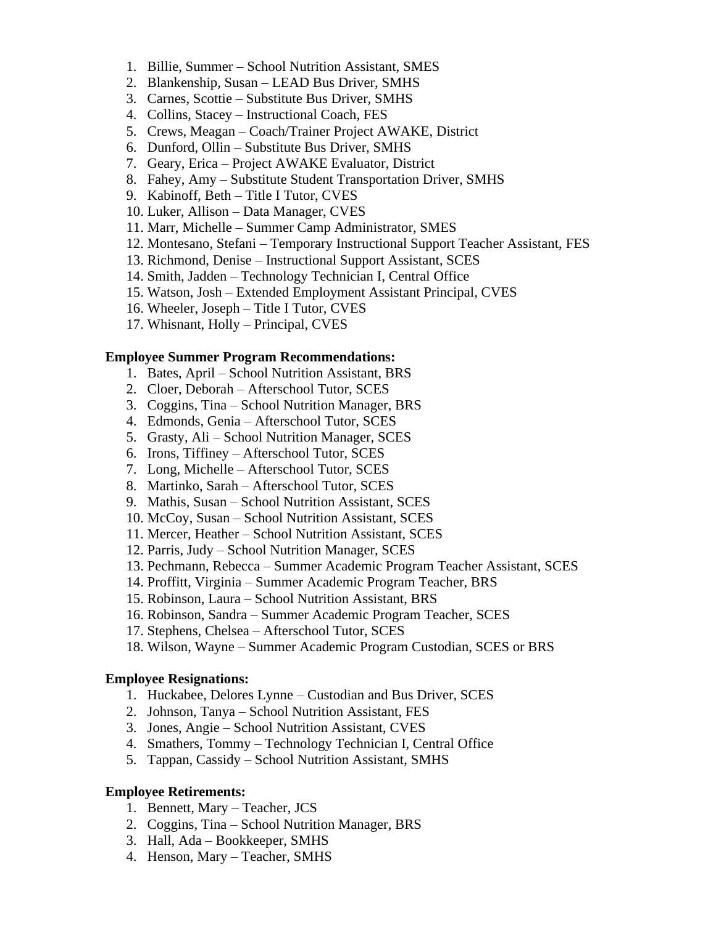- 1. Billie, Summer School Nutrition Assistant, SMES
- 2. Blankenship, Susan LEAD Bus Driver, SMHS
- 3. Carnes, Scottie Substitute Bus Driver, SMHS
- 4. Collins, Stacey Instructional Coach, FES
- 5. Crews, Meagan Coach/Trainer Project AWAKE, District
- 6. Dunford, Ollin Substitute Bus Driver, SMHS
- 7. Geary, Erica Project AWAKE Evaluator, District
- 8. Fahey, Amy Substitute Student Transportation Driver, SMHS
- 9. Kabinoff, Beth Title I Tutor, CVES
- 10. Luker, Allison Data Manager, CVES
- 11. Marr, Michelle Summer Camp Administrator, SMES
- 12. Montesano, Stefani Temporary Instructional Support Teacher Assistant, FES
- 13. Richmond, Denise Instructional Support Assistant, SCES
- 14. Smith, Jadden Technology Technician I, Central Office
- 15. Watson, Josh Extended Employment Assistant Principal, CVES
- 16. Wheeler, Joseph Title I Tutor, CVES
- 17. Whisnant, Holly Principal, CVES

#### **Employee Summer Program Recommendations:**

- 1. Bates, April School Nutrition Assistant, BRS
- 2. Cloer, Deborah Afterschool Tutor, SCES
- 3. Coggins, Tina School Nutrition Manager, BRS
- 4. Edmonds, Genia Afterschool Tutor, SCES
- 5. Grasty, Ali School Nutrition Manager, SCES
- 6. Irons, Tiffiney Afterschool Tutor, SCES
- 7. Long, Michelle Afterschool Tutor, SCES
- 8. Martinko, Sarah Afterschool Tutor, SCES
- 9. Mathis, Susan School Nutrition Assistant, SCES
- 10. McCoy, Susan School Nutrition Assistant, SCES
- 11. Mercer, Heather School Nutrition Assistant, SCES
- 12. Parris, Judy School Nutrition Manager, SCES
- 13. Pechmann, Rebecca Summer Academic Program Teacher Assistant, SCES
- 14. Proffitt, Virginia Summer Academic Program Teacher, BRS
- 15. Robinson, Laura School Nutrition Assistant, BRS
- 16. Robinson, Sandra Summer Academic Program Teacher, SCES
- 17. Stephens, Chelsea Afterschool Tutor, SCES
- 18. Wilson, Wayne Summer Academic Program Custodian, SCES or BRS

#### **Employee Resignations:**

- 1. Huckabee, Delores Lynne Custodian and Bus Driver, SCES
- 2. Johnson, Tanya School Nutrition Assistant, FES
- 3. Jones, Angie School Nutrition Assistant, CVES
- 4. Smathers, Tommy Technology Technician I, Central Office
- 5. Tappan, Cassidy School Nutrition Assistant, SMHS

#### **Employee Retirements:**

- 1. Bennett, Mary Teacher, JCS
- 2. Coggins, Tina School Nutrition Manager, BRS
- 3. Hall, Ada Bookkeeper, SMHS
- 4. Henson, Mary Teacher, SMHS